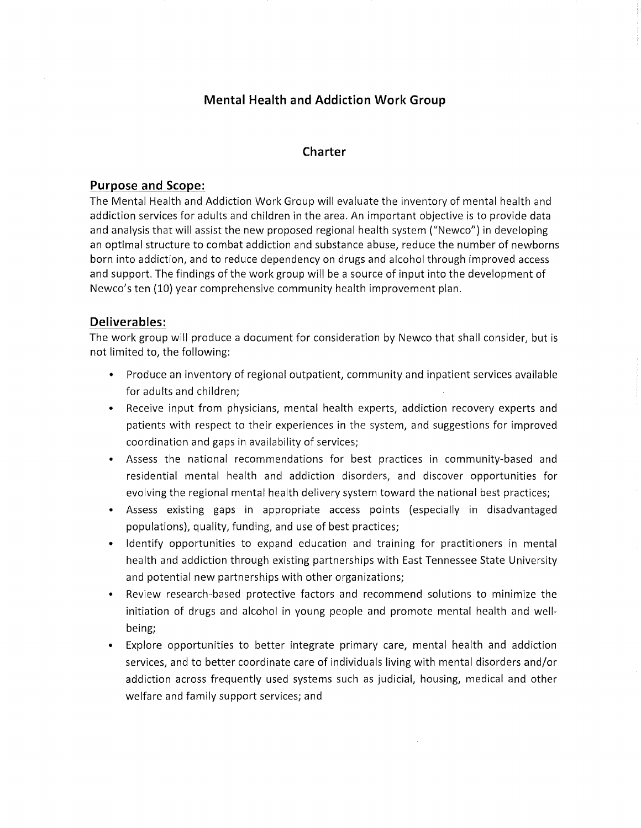# **Mental Health and Addiction Work Group**

### **Charter**

### **Purpose and Scope:**

The Mental Health and Addiction Work Group will evaluate the inventory of mental health and addiction services for adults and children in the area. An important objective is to provide data and analysis that will assist the new proposed regional health system ("Newco") in developing an optimal structure to combat addiction and substance abuse, reduce the number of newborns born into addiction, and to reduce dependency on drugs and alcohol through improved access and support. The findings of the work group will be a source of input into the development of Newco's ten (10) year comprehensive community health improvement plan.

### **Deliverables:**

- Produce an inventory of regional outpatient, community and inpatient services available for adults and children;
- Receive input from physicians, mental health experts, addiction recovery experts and patients with respect to their experiences in the system, and suggestions for improved coordination and gaps in availability of services;
- Assess the national recommendations for best practices in community-based and residential mental health and addiction disorders, and discover opportunities for evolving the regional mental health delivery system toward the national best practices;
- Assess existing gaps in appropriate access points (especially in disadvantaged populations), quality, funding, and use of best practices;
- Identify opportunities to expand education and training for practitioners in mental health and addiction through existing partnerships with East Tennessee State University and potential new partnerships with other organizations;
- Review research-based protective factors and recommend solutions to minimize the initiation of drugs and alcohol in young people and promote mental health and wellbeing;
- Explore opportunities to better integrate primary care, mental health and addiction services, and to better coordinate care of individuals living with mental disorders and/or addiction across frequently used systems such as judicial, housing, medical and other welfare and family support services; and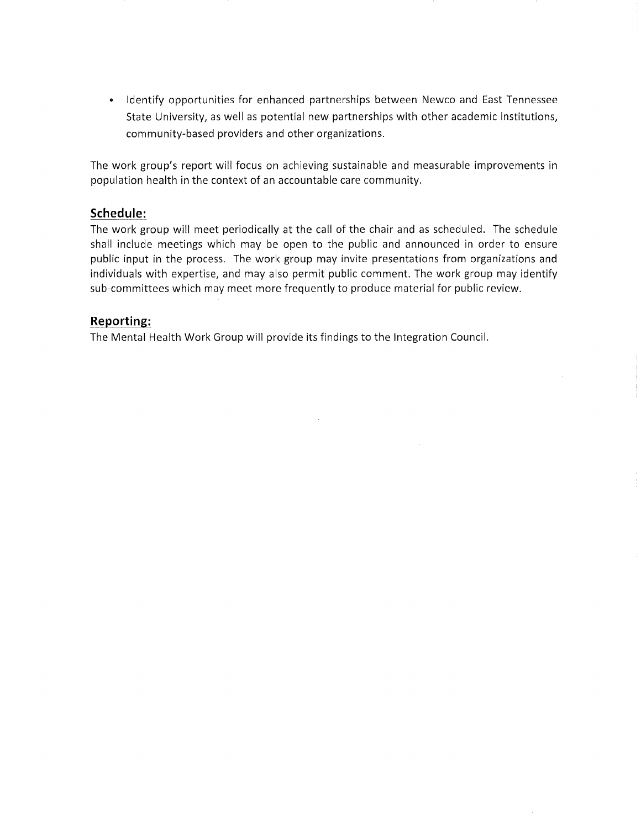• Identify opportunities for enhanced partnerships between Newco and East Tennessee State University, as well as potential new partnerships with other academic institutions, community-based providers and other organizations.

The work group's report will focus on achieving sustainable and measurable improvements in population health in the context of an accountable care community.

### **Schedule:**

The work group will meet periodically at the call of the chair and as scheduled. The schedule shall include meetings which may be open to the public and announced in order to ensure public input in the process. The work group may invite presentations from organizations and individuals with expertise, and may also permit public comment. The work group may identify sub-committees which may meet more frequently to produce material for public review.

## **Reporting:**

The Mental Health Work Group will provide its findings to the Integration Council.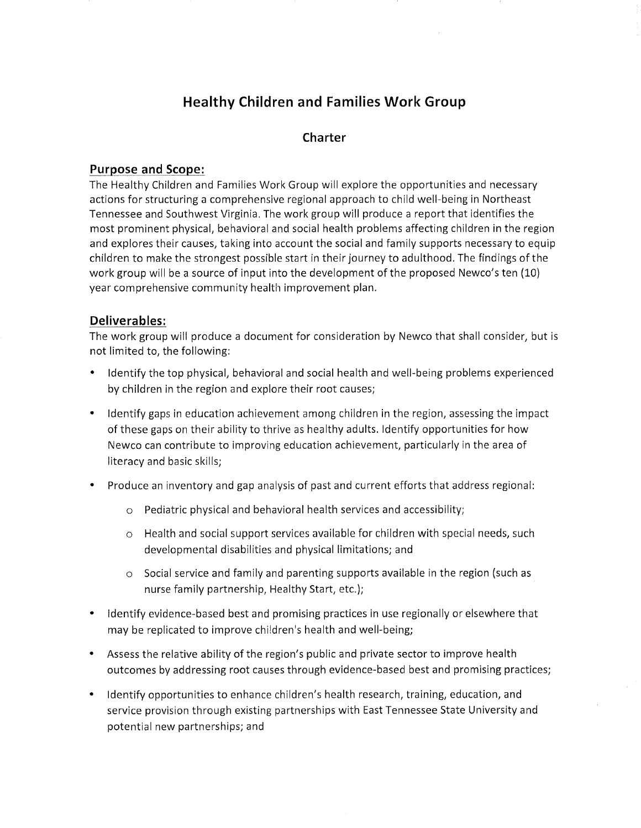# **Healthy Children and Families Work Group**

# **Charter**

# **Purpose and Scope:**

The Healthy Children and Families Work Group will explore the opportunities and necessary actions for structuring a comprehensive regional approach to child well-being in Northeast Tennessee and Southwest Virginia. The work group will produce a report that identifies the most prominent physical, behavioral and social health problems affecting children in the region and explores their causes, taking into account the social and family supports necessary to equip children to make the strongest possible start in their journey to adulthood. The findings of the work group will be a source of input into the development of the proposed Newco's ten (10) year comprehensive community health improvement plan.

## **Deliverables:**

- Identify the top physical, behavioral and social health and well-being problems experienced by children in the region and explore their root causes;
- Identify gaps in education achievement among children in the region, assessing the impact of these gaps on their ability to thrive as healthy adults. Identify opportunities for how Newco can contribute to improving education achievement, particularly in the area of literacy and basic skills;
- Produce an inventory and gap analysis of past and current efforts that address regional:
	- o Pediatric physical and behavioral health services and accessibility;
	- $\circ$  Health and social support services available for children with special needs, such developmental disabilities and physical limitations; and
	- $\circ$  Social service and family and parenting supports available in the region (such as nurse family partnership, Healthy Start, etc.);
- Identify evidence-based best and promising practices in use regionally or elsewhere that may be replicated to improve chi!dren's health and well-being;
- Assess the relative ability of the region's public and private sector to improve health outcomes by addressing root causes through evidence-based best and promising practices;
- Identify opportunities to enhance children's health research, training, education, and service provision through existing partnerships with East Tennessee State University and potential new partnerships; and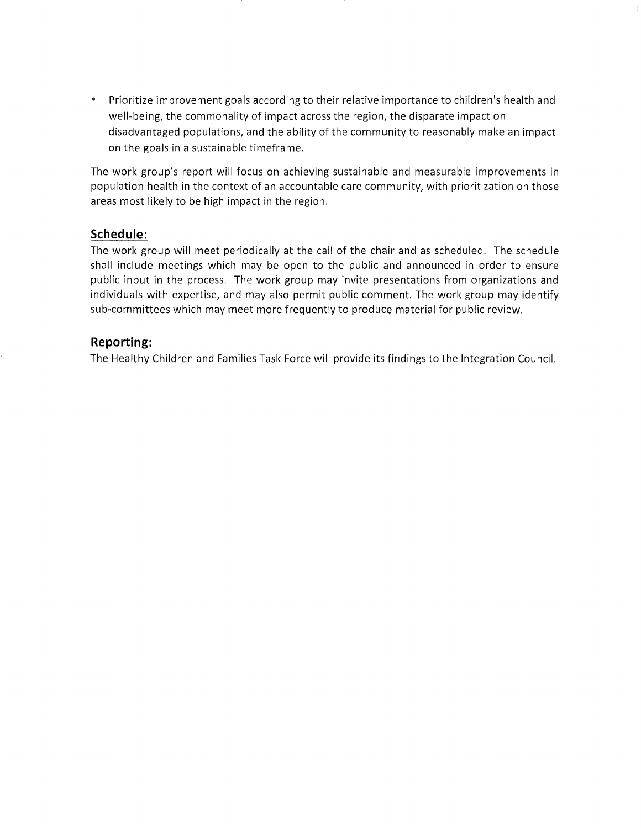• Prioritize improvement goals according to their relative importance to children's health and well-being, the commonality of impact across the region, the disparate impact on disadvantaged populations, and the ability of the community to reasonably make an impact on the goals in a sustainable timeframe.

The work group's report will focus on achieving sustainable and measurable improvements in population health in the context of an accountable care community, with prioritization on those areas most likely to be high impact in the region.

## **Schedule:**

The work group will meet periodically at the call of the chair and as scheduled. The schedule shall include meetings which may be open to the public and announced in order to ensure public input in the process. The work group may invite presentations from organizations and individuals with expertise, and may also permit public comment. The work group may identify sub-committees which may meet more frequently to produce material for public review.

## **Reporting:**

The Healthy Children and Families Task Force will provide its findings to the Integration Council.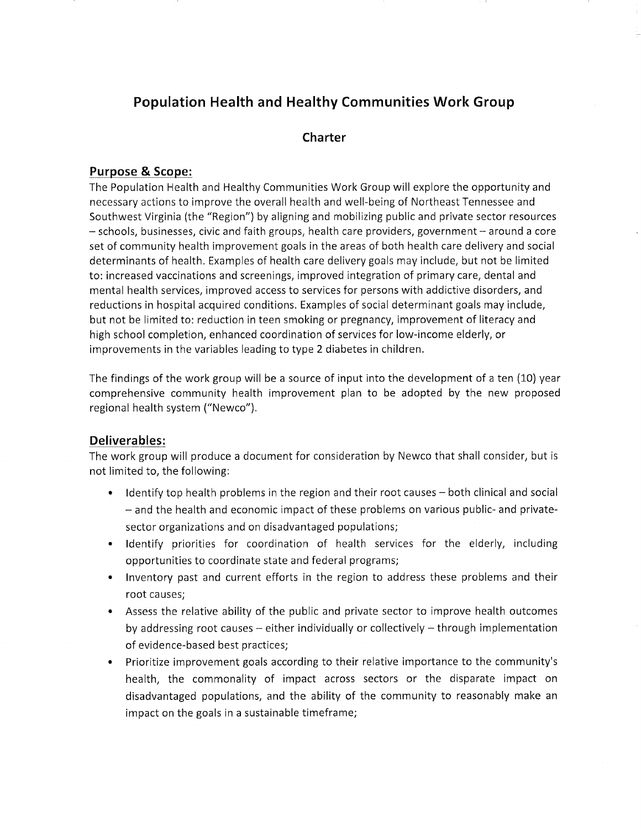# **Population Health and Healthy Communities Work Group**

# **Charter**

## **Purpose & Scope:**

The Population Health and Healthy Communities Work Group will explore the opportunity and necessary actions to improve the overall health and well-being of Northeast Tennessee and Southwest Virginia (the "Region") by aligning and mobilizing public and private sector resources - schools, businesses, civic and faith groups, health care providers, government- around a core set of community health improvement goals in the areas of both health care delivery and social determinants of health. Examples of health care delivery goals may include, but not be limited to: increased vaccinations and screenings, improved integration of primary care, dental and mental health services, improved access to services for persons with addictive disorders, and reductions in hospital acquired conditions. Examples of social determinant goals may include, but not be limited to: reduction in teen smoking or pregnancy, improvement of literacy and high school completion, enhanced coordination of services for low-income elderly, or improvements in the variables leading to type 2 diabetes in children.

The findings of the work group will be a source of input into the development of a ten (10} year comprehensive community health improvement plan to be adopted by the new proposed regional health system ("Newco'').

### **Deliverables:**

- Identify top health problems in the region and their root causes both clinical and social - and the health and economic impact of these problems on various public- and privatesector organizations and on disadvantaged populations;
- Identify priorities for coordination of health services for the elderly, including opportunities to coordinate state and federal programs;
- Inventory past and current efforts in the region to address these problems and their root causes;
- Assess the relative ability of the public and private sector to improve health outcomes by addressing root causes  $-$  either individually or collectively  $-$  through implementation of evidence-based best practices;
- Prioritize improvement goals according to their relative importance to the community's health, the commonality of impact across sectors or the disparate impact on disadvantaged populations, and the ability of the community to reasonably make an impact on the goals in a sustainable timeframe;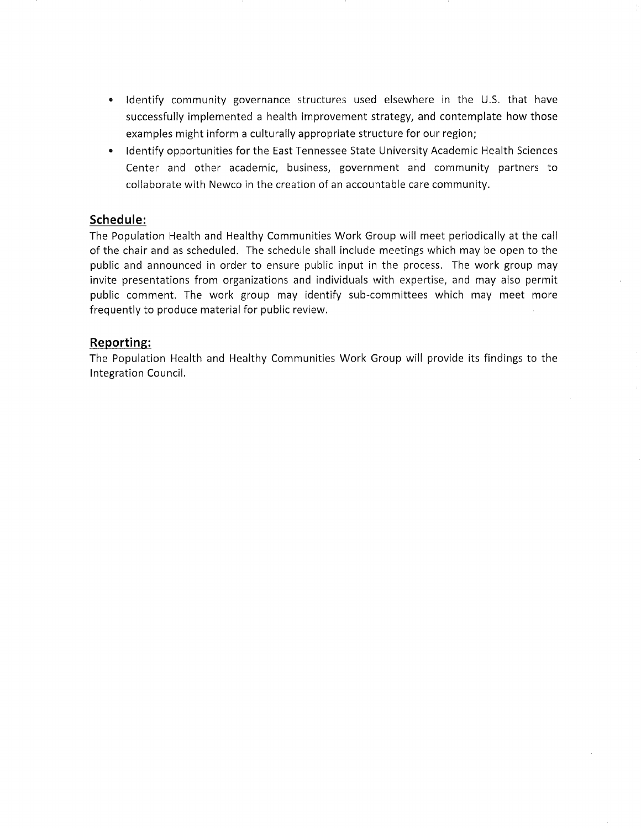- Identify community governance structures used elsewhere in the U.S. that have successfully implemented a health improvement strategy, and contemplate how those examples might inform a culturally appropriate structure for our region;
- Identify opportunities for the East Tennessee State University Academic Health Sciences Center and other academic, business, government and community partners to collaborate with Newco in the creation of an accountable care community.

### **Schedule:**

The Population Health and Healthy Communities Work Group will meet periodically at the call of the chair and as scheduled. The schedule shall include meetings which may be open to the public and announced in order to ensure public input in the process. The work group may invite presentations from organizations and individuals with expertise, and may also permit public comment. The work group may identify sub-committees which may meet more frequently to produce material for public review.

### **Reporting:**

The Population Health and Healthy Communities Work Group will provide its findings to the Integration Council.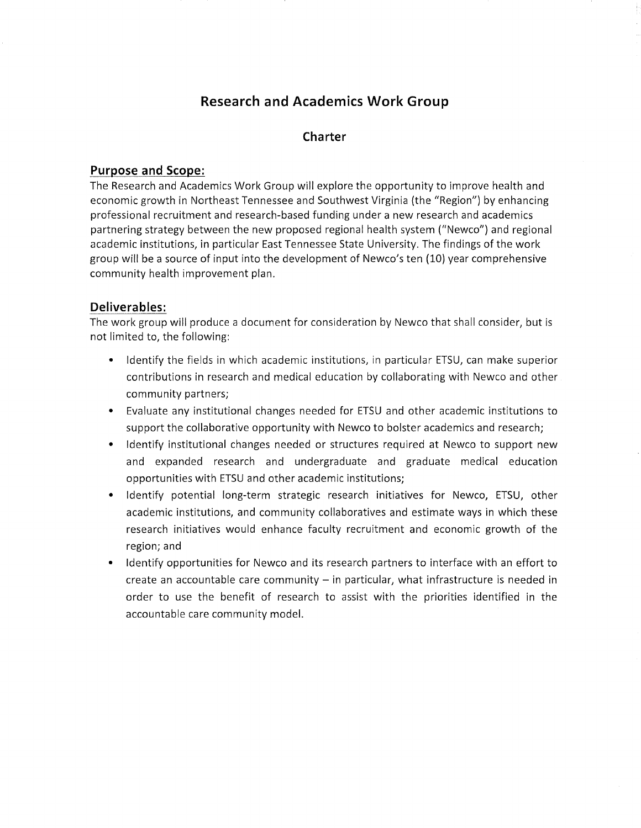# **Research and Academics Work Group**

# **Charter**

### **Purpose and Scope:**

The Research and Academics Work Group will explore the opportunity to improve health and economic growth in Northeast Tennessee and Southwest Virginia (the "Region") by enhancing professional recruitment and research-based funding under a new research and academics partnering strategy between the new proposed regional health system ("Newco'') and regional academic institutions, in particular East Tennessee State University. The findings of the work group will be a source of input into the development of Newco's ten (10) year comprehensive community health improvement plan.

## **Deliverables:**

- Identify the fields in which academic institutions, in particular ETSU, can make superior contributions in research and medical education by collaborating with Newco and other community partners;
- Evaluate any institutional changes needed for ETSU and other academic institutions to support the collaborative opportunity with Newco to bolster academics and research;
- Identify institutional changes needed or structures required at Newco to support new and expanded research and undergraduate and graduate medical education opportunities with ETSU and other academic institutions;
- Identify potential long-term strategic research initiatives for Newco, ETSU, other academic institutions, and community collaboratives and estimate ways in which these research initiatives would enhance faculty recruitment and economic growth of the region; and
- Identify opportunities for Newco and its research partners to interface with an effort to  $c$ reate an accountable care community  $-$  in particular, what infrastructure is needed in order to use the benefit of research to assist with the priorities identified in the accountable care community model.